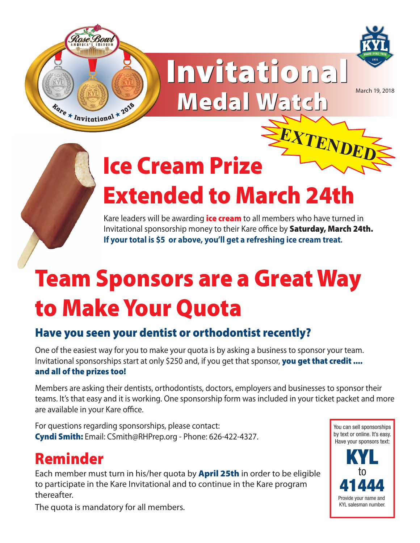



# Invitational Invitational Medal Watch March 19, 2018



## Ice Cream Prize Extended to March 24th  $\pmb{EXT}\pmb{ENDE}$

Kare leaders will be awarding **ice cream** to all members who have turned in Invitational sponsorship money to their Kare office by **Saturday, March 24th. If your total is \$5 or above, you'll get a refreshing ice cream treat.**

# Team Sponsors are a Great Way to Make Your Quota

### Have you seen your dentist or orthodontist recently?

One of the easiest way for you to make your quota is by asking a business to sponsor your team. Invitational sponsorships start at only \$250 and, if you get that sponsor, you get that credit .... and all of the prizes too!

Members are asking their dentists, orthodontists, doctors, employers and businesses to sponsor their teams. It's that easy and it is working. One sponsorship form was included in your ticket packet and more are available in your Kare office.

For questions regarding sponsorships, please contact: Cyndi Smith: Email: CSmith@RHPrep.org - Phone: 626-422-4327.

### Reminder

Each member must turn in his/her quota by **April 25th** in order to be eligible to participate in the Kare Invitational and to continue in the Kare program thereafter.

You can sell sponsorships by text or online. It's easy. Have your sponsors text:



The quota is mandatory for all members.